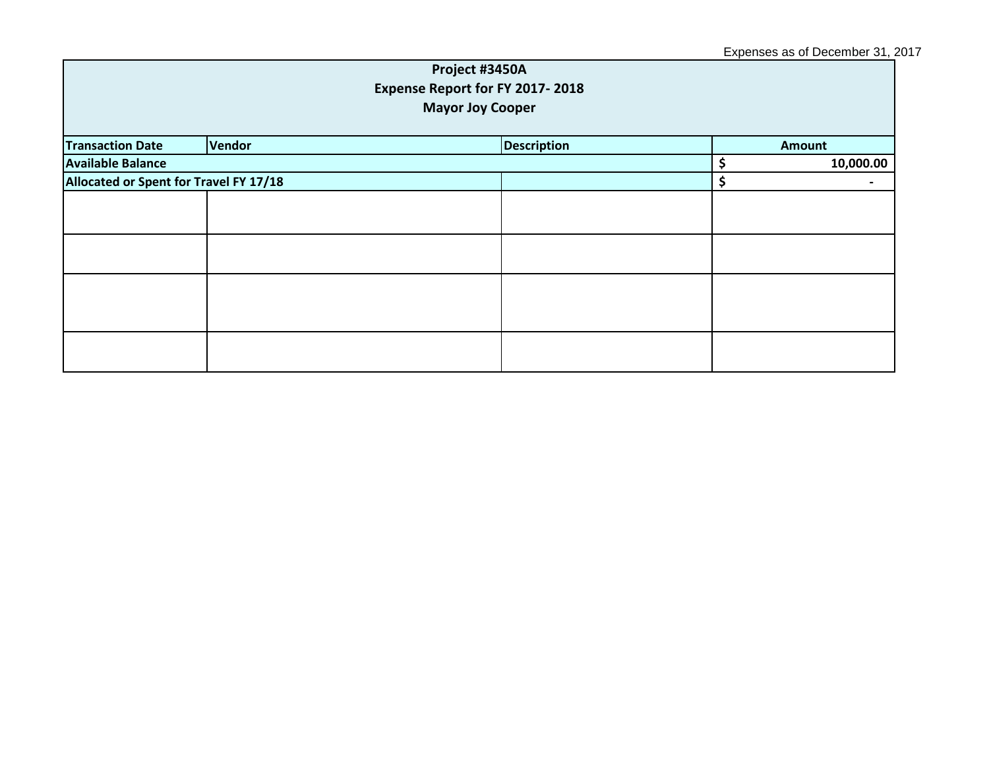## Expenses as of December 31, 2017

| Project #3450A<br>Expense Report for FY 2017-2018<br><b>Mayor Joy Cooper</b> |        |                    |  |               |  |
|------------------------------------------------------------------------------|--------|--------------------|--|---------------|--|
| <b>Transaction Date</b>                                                      | Vendor | <b>Description</b> |  | <b>Amount</b> |  |
| <b>Available Balance</b>                                                     |        |                    |  | 10,000.00     |  |
| Allocated or Spent for Travel FY 17/18                                       |        |                    |  |               |  |
|                                                                              |        |                    |  |               |  |
|                                                                              |        |                    |  |               |  |
|                                                                              |        |                    |  |               |  |
|                                                                              |        |                    |  |               |  |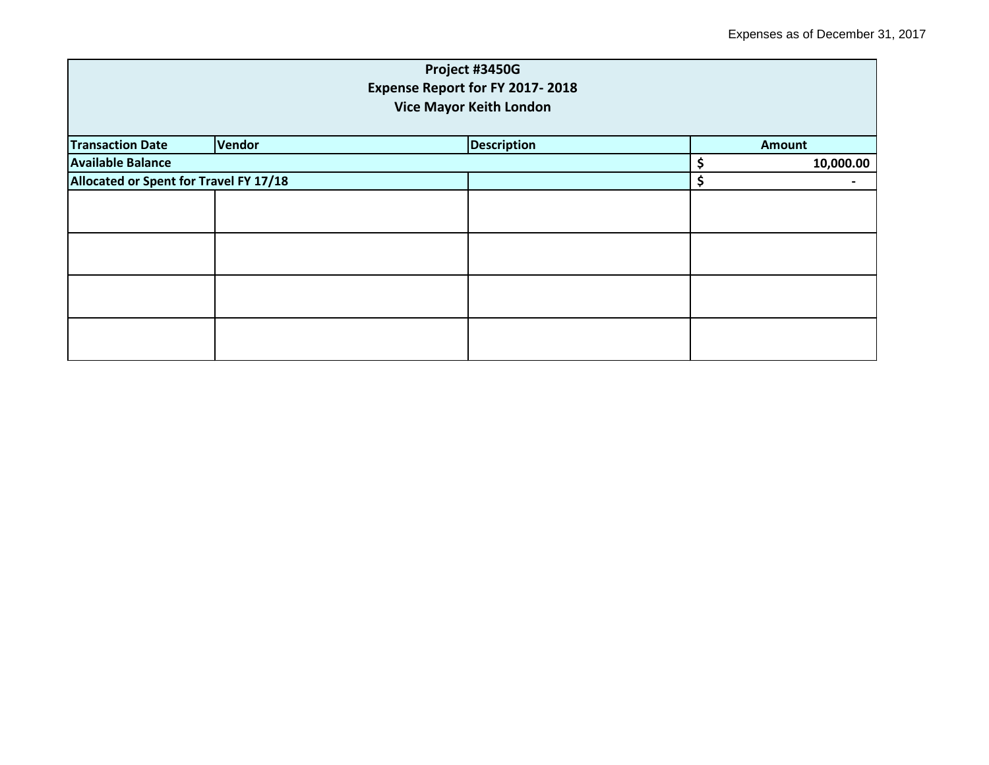|                                        |                                | Project #3450G                  |    |               |  |  |  |
|----------------------------------------|--------------------------------|---------------------------------|----|---------------|--|--|--|
|                                        |                                | Expense Report for FY 2017-2018 |    |               |  |  |  |
|                                        | <b>Vice Mayor Keith London</b> |                                 |    |               |  |  |  |
| <b>Transaction Date</b>                | Vendor                         | <b>Description</b>              |    | <b>Amount</b> |  |  |  |
| <b>Available Balance</b>               |                                |                                 | \$ | 10,000.00     |  |  |  |
| Allocated or Spent for Travel FY 17/18 |                                | \$                              |    |               |  |  |  |
|                                        |                                |                                 |    |               |  |  |  |
|                                        |                                |                                 |    |               |  |  |  |
|                                        |                                |                                 |    |               |  |  |  |
|                                        |                                |                                 |    |               |  |  |  |
|                                        |                                |                                 |    |               |  |  |  |
|                                        |                                |                                 |    |               |  |  |  |
|                                        |                                |                                 |    |               |  |  |  |
|                                        |                                |                                 |    |               |  |  |  |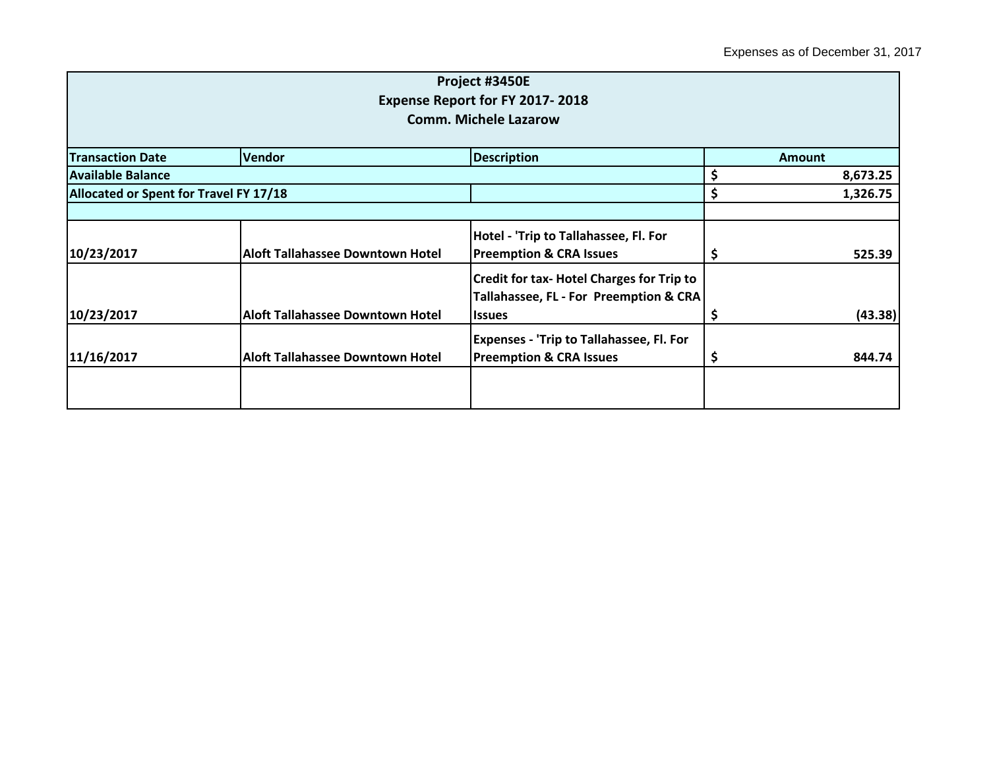|                                        |                                         | Project #3450E                                   |    |               |
|----------------------------------------|-----------------------------------------|--------------------------------------------------|----|---------------|
|                                        |                                         | <b>Expense Report for FY 2017-2018</b>           |    |               |
|                                        |                                         | <b>Comm. Michele Lazarow</b>                     |    |               |
| <b>Transaction Date</b>                | <b>Vendor</b>                           | <b>Description</b>                               |    | <b>Amount</b> |
| <b>Available Balance</b>               |                                         |                                                  | \$ |               |
|                                        |                                         |                                                  |    | 8,673.25      |
| Allocated or Spent for Travel FY 17/18 |                                         |                                                  | \$ | 1,326.75      |
|                                        |                                         |                                                  |    |               |
|                                        |                                         | Hotel - 'Trip to Tallahassee, Fl. For            |    |               |
| 10/23/2017                             | <b>Aloft Tallahassee Downtown Hotel</b> | <b>Preemption &amp; CRA Issues</b>               | Ş  | 525.39        |
|                                        |                                         | <b>Credit for tax- Hotel Charges for Trip to</b> |    |               |
|                                        |                                         | Tallahassee, FL - For Preemption & CRA           |    |               |
| 10/23/2017                             | <b>Aloft Tallahassee Downtown Hotel</b> | <b>Issues</b>                                    | \$ | (43.38)       |
|                                        |                                         | <b>Expenses - 'Trip to Tallahassee, Fl. For</b>  |    |               |
| 11/16/2017                             | <b>Aloft Tallahassee Downtown Hotel</b> | <b>Preemption &amp; CRA Issues</b>               | Ş  | 844.74        |
|                                        |                                         |                                                  |    |               |
|                                        |                                         |                                                  |    |               |